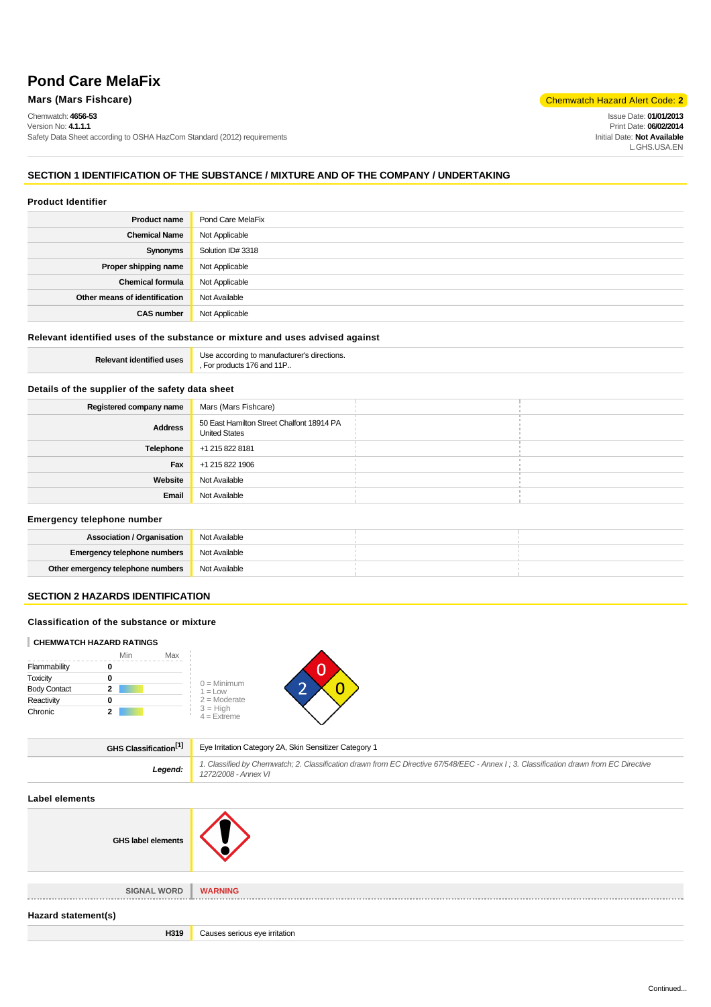# **Pond Care MelaFix**

Chemwatch: **4656-53**

Version No: **4.1.1.1** Safety Data Sheet according to OSHA HazCom Standard (2012) requirements

# **Mars (Mars Fishcare)** Chemwatch Hazard Alert Code: 2

Issue Date: **01/01/2013** Print Date: **06/02/2014** Initial Date: **Not Available** L.GHS.USA.EN

# **SECTION 1 IDENTIFICATION OF THE SUBSTANCE / MIXTURE AND OF THE COMPANY / UNDERTAKING**

# **Product Identifier**

| <b>Product name</b>           | Pond Care MelaFix |
|-------------------------------|-------------------|
| <b>Chemical Name</b>          | Not Applicable    |
| Synonyms                      | Solution ID# 3318 |
| Proper shipping name          | Not Applicable    |
| <b>Chemical formula</b>       | Not Applicable    |
| Other means of identification | Not Available     |
| <b>CAS number</b>             | Not Applicable    |

# **Relevant identified uses of the substance or mixture and uses advised against**

**Relevant identified uses** Use according to manufacturer's directions. , For products 176 and 11P..

# **Details of the supplier of the safety data sheet**

| Registered company name | Mars (Mars Fishcare)                                              |
|-------------------------|-------------------------------------------------------------------|
| <b>Address</b>          | 50 East Hamilton Street Chalfont 18914 PA<br><b>United States</b> |
| Telephone               | +1 215 822 8181                                                   |
| Fax                     | +1 215 822 1906                                                   |
| Website                 | Not Available                                                     |
| Email                   | Not Available                                                     |

#### **Emergency telephone number**

| <b>Association / Organisation</b>   | Not Available |  |
|-------------------------------------|---------------|--|
| <b>Emergency telephone numbers</b>  | Not Available |  |
| Other emergency telephone numbers . | Not Available |  |

# **SECTION 2 HAZARDS IDENTIFICATION**

#### **Classification of the substance or mixture**

## **CHEMWATCH HAZARD RATINGS**

|                     | Min | Max                         |
|---------------------|-----|-----------------------------|
| Flammability        |     |                             |
| Toxicity            |     | $0 =$ Minimum               |
| <b>Body Contact</b> | 2   | $1 = Low$                   |
| Reactivity          |     | $2 =$ Moderate              |
| Chronic             |     | $3 = High$<br>$4 =$ Extreme |

 $\blacktriangle$ 

| GHS Classification <sup>[1]</sup> | Eye Irritation Category 2A, Skin Sensitizer Category 1                                                                                                        |
|-----------------------------------|---------------------------------------------------------------------------------------------------------------------------------------------------------------|
| Legend:                           | 1. Classified by Chemwatch; 2. Classification drawn from EC Directive 67/548/EEC - Annex I; 3. Classification drawn from EC Directive<br>1272/2008 - Annex VI |
|                                   |                                                                                                                                                               |

# **Label elements**

| ________________          |                               |
|---------------------------|-------------------------------|
| <b>GHS label elements</b> |                               |
| <b>SIGNAL WORD</b>        | <b>WARNING</b>                |
| Hazard statement(s)       |                               |
| H319                      | Causes serious eye irritation |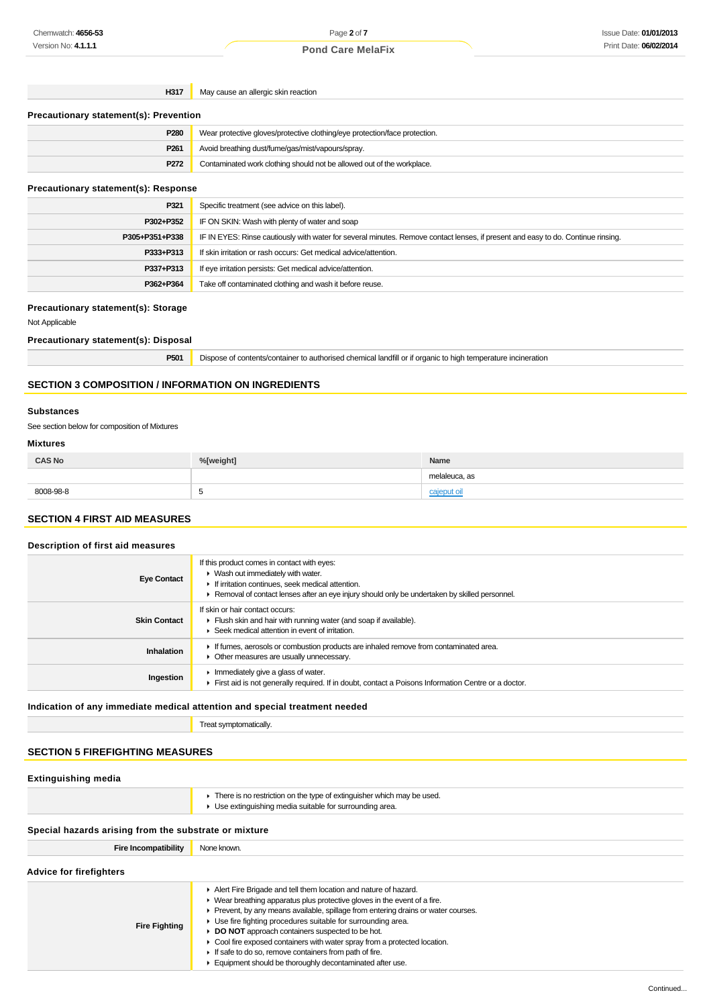| H317 | May cause an allergic skin reaction |
|------|-------------------------------------|
|------|-------------------------------------|

| <b>Precautionary statement(s): Prevention</b> |                                                                            |  |
|-----------------------------------------------|----------------------------------------------------------------------------|--|
| P280                                          | Wear protective gloves/protective clothing/eye protection/face protection. |  |
| P <sub>261</sub>                              | Avoid breathing dust/fume/gas/mist/vapours/spray.                          |  |
| P272                                          | Contaminated work clothing should not be allowed out of the workplace.     |  |

# **Precautionary statement(s): Response**

| P321           | Specific treatment (see advice on this label).                                                                                   |
|----------------|----------------------------------------------------------------------------------------------------------------------------------|
| P302+P352      | IF ON SKIN: Wash with plenty of water and soap                                                                                   |
| P305+P351+P338 | IF IN EYES: Rinse cautiously with water for several minutes. Remove contact lenses, if present and easy to do. Continue rinsing. |
| P333+P313      | If skin irritation or rash occurs: Get medical advice/attention.                                                                 |
| P337+P313      | If eye irritation persists: Get medical advice/attention.                                                                        |
| P362+P364      | Take off contaminated clothing and wash it before reuse.                                                                         |

## **Precautionary statement(s): Storage**

Not Applicable

# **Precautionary statement(s): Disposal**

**P501** Dispose of contents/container to authorised chemical landfill or if organic to high temperature incineration

# **SECTION 3 COMPOSITION / INFORMATION ON INGREDIENTS**

#### **Substances**

See section below for composition of Mixtures

# **Mixtures**

| <b>CAS No</b> | %[weight] | Name          |
|---------------|-----------|---------------|
|               |           | melaleuca, as |
| 8008-98-8     |           |               |

# **SECTION 4 FIRST AID MEASURES**

# **Description of first aid measures Eye Contact** If this product comes in contact with eyes: Wash out immediately with water. If irritation continues, seek medical attention. ▶ Removal of contact lenses after an eye injury should only be undertaken by skilled personnel. **Skin Contact** If skin or hair contact occurs: Flush skin and hair with running water (and soap if available). Seek medical attention in event of irritation. **Inhalation If** fumes, aerosols or combustion products are inhaled remove from contaminated area.  $\triangleright$  Other measures are usually unnecessary. **Ingestion I** Immediately give a glass of water. First aid is not generally required. If in doubt, contact a Poisons Information Centre or a doctor.

# **Indication of any immediate medical attention and special treatment needed**

Treat symptomatically.

# **SECTION 5 FIREFIGHTING MEASURES**

# **Extinguishing media**

|  | There is no restriction on the type of extinguisher which may be used.<br>▶ Use extinguishing media suitable for surrounding area. |  |
|--|------------------------------------------------------------------------------------------------------------------------------------|--|
|  |                                                                                                                                    |  |

# **Special hazards arising from the substrate or mixture**

| <b>Fire Incompatibility</b>    | None known.                                                                                                                                                                                                                                                                                                                                                                                                                                                                                                                                                     |  |  |
|--------------------------------|-----------------------------------------------------------------------------------------------------------------------------------------------------------------------------------------------------------------------------------------------------------------------------------------------------------------------------------------------------------------------------------------------------------------------------------------------------------------------------------------------------------------------------------------------------------------|--|--|
| <b>Advice for firefighters</b> |                                                                                                                                                                                                                                                                                                                                                                                                                                                                                                                                                                 |  |  |
| <b>Fire Fighting</b>           | Alert Fire Brigade and tell them location and nature of hazard.<br>• Wear breathing apparatus plus protective gloves in the event of a fire.<br>Prevent, by any means available, spillage from entering drains or water courses.<br>• Use fire fighting procedures suitable for surrounding area.<br><b>DO NOT</b> approach containers suspected to be hot.<br>• Cool fire exposed containers with water spray from a protected location.<br>If safe to do so, remove containers from path of fire.<br>Equipment should be thoroughly decontaminated after use. |  |  |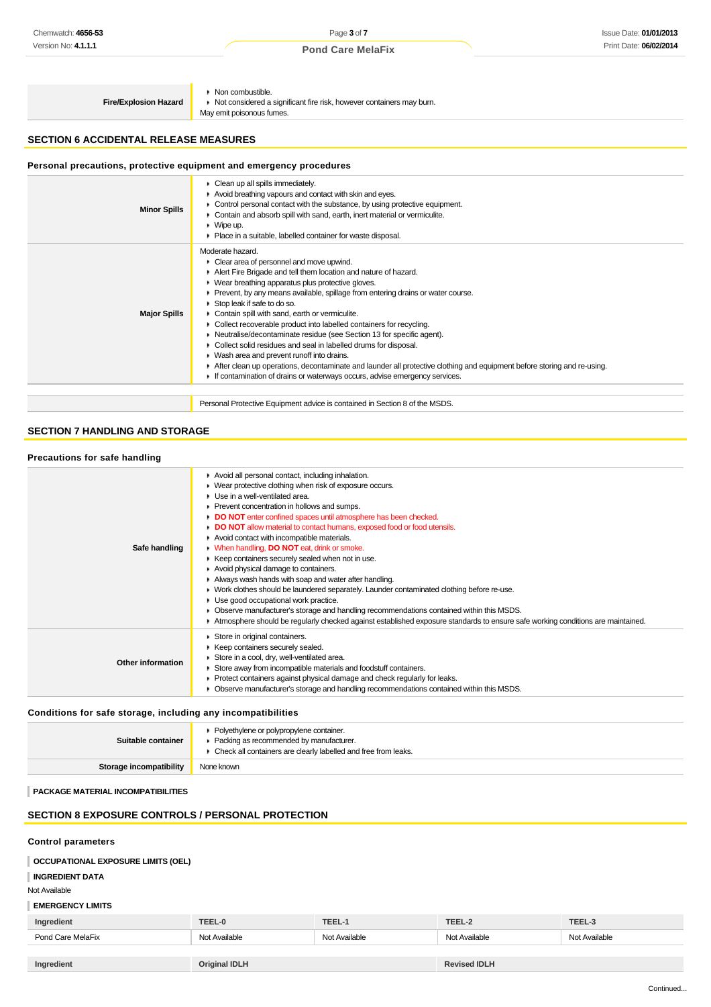# **Pond Care MelaFix** Print Date: **06/02/2014**

**Fire/Explosion Hazard**

Non combustible. ■ Not considered a significant fire risk, however containers may burn.

May emit poisonous fumes.

# **SECTION 6 ACCIDENTAL RELEASE MEASURES**

# **Personal precautions, protective equipment and emergency procedures**

| <b>Minor Spills</b> | Clean up all spills immediately.<br>Avoid breathing vapours and contact with skin and eyes.<br>Control personal contact with the substance, by using protective equipment.<br>• Contain and absorb spill with sand, earth, inert material or vermiculite.<br>$W$ Wipe up.<br>• Place in a suitable, labelled container for waste disposal.                                                                                                                                                                                                                                                                                                                                                                                                                                                                                                   |
|---------------------|----------------------------------------------------------------------------------------------------------------------------------------------------------------------------------------------------------------------------------------------------------------------------------------------------------------------------------------------------------------------------------------------------------------------------------------------------------------------------------------------------------------------------------------------------------------------------------------------------------------------------------------------------------------------------------------------------------------------------------------------------------------------------------------------------------------------------------------------|
| <b>Major Spills</b> | Moderate hazard.<br>• Clear area of personnel and move upwind.<br>Alert Fire Brigade and tell them location and nature of hazard.<br>• Wear breathing apparatus plus protective gloves.<br>■ Prevent, by any means available, spillage from entering drains or water course.<br>Stop leak if safe to do so.<br>Contain spill with sand, earth or vermiculite.<br>• Collect recoverable product into labelled containers for recycling.<br>• Neutralise/decontaminate residue (see Section 13 for specific agent).<br>Collect solid residues and seal in labelled drums for disposal.<br>• Wash area and prevent runoff into drains.<br>After clean up operations, decontaminate and launder all protective clothing and equipment before storing and re-using.<br>If contamination of drains or waterways occurs, advise emergency services. |
|                     | Personal Protective Equipment advice is contained in Section 8 of the MSDS.                                                                                                                                                                                                                                                                                                                                                                                                                                                                                                                                                                                                                                                                                                                                                                  |

# **SECTION 7 HANDLING AND STORAGE**

| Precautions for safe handling |                                                                                                                                                                                                                                                                                                                                                                                                                                                                                                                                                                                                                                                                                                                                                                                                                                                                                                                                                                               |
|-------------------------------|-------------------------------------------------------------------------------------------------------------------------------------------------------------------------------------------------------------------------------------------------------------------------------------------------------------------------------------------------------------------------------------------------------------------------------------------------------------------------------------------------------------------------------------------------------------------------------------------------------------------------------------------------------------------------------------------------------------------------------------------------------------------------------------------------------------------------------------------------------------------------------------------------------------------------------------------------------------------------------|
| Safe handling                 | Avoid all personal contact, including inhalation.<br>▶ Wear protective clothing when risk of exposure occurs.<br>Use in a well-ventilated area.<br>Prevent concentration in hollows and sumps.<br>DO NOT enter confined spaces until atmosphere has been checked.<br>DO NOT allow material to contact humans, exposed food or food utensils.<br>Avoid contact with incompatible materials.<br><b>When handling, DO NOT eat, drink or smoke.</b><br>Keep containers securely sealed when not in use.<br>Avoid physical damage to containers.<br>Always wash hands with soap and water after handling.<br>■ Work clothes should be laundered separately. Launder contaminated clothing before re-use.<br>• Use good occupational work practice.<br>• Observe manufacturer's storage and handling recommendations contained within this MSDS.<br>Atmosphere should be regularly checked against established exposure standards to ensure safe working conditions are maintained. |
| Other information             | Store in original containers.<br>Keep containers securely sealed.<br>Store in a cool, dry, well-ventilated area.<br>Store away from incompatible materials and foodstuff containers.<br>• Protect containers against physical damage and check regularly for leaks.<br>■ Observe manufacturer's storage and handling recommendations contained within this MSDS.                                                                                                                                                                                                                                                                                                                                                                                                                                                                                                                                                                                                              |

**Conditions for safe storage, including any incompatibilities**

| Suitable container      | • Polyethylene or polypropylene container.<br>• Packing as recommended by manufacturer.<br>• Check all containers are clearly labelled and free from leaks. |
|-------------------------|-------------------------------------------------------------------------------------------------------------------------------------------------------------|
| Storage incompatibility | None known                                                                                                                                                  |

**PACKAGE MATERIAL INCOMPATIBILITIES**

# **SECTION 8 EXPOSURE CONTROLS / PERSONAL PROTECTION**

| <b>Control parameters</b>                 |                      |               |                     |               |
|-------------------------------------------|----------------------|---------------|---------------------|---------------|
| <b>OCCUPATIONAL EXPOSURE LIMITS (OEL)</b> |                      |               |                     |               |
| <b>INGREDIENT DATA</b>                    |                      |               |                     |               |
| Not Available                             |                      |               |                     |               |
| <b>EMERGENCY LIMITS</b>                   |                      |               |                     |               |
| Ingredient                                | TEEL-0               | TEEL-1        | TEEL-2              | TEEL-3        |
| Pond Care MelaFix                         | Not Available        | Not Available | Not Available       | Not Available |
|                                           |                      |               |                     |               |
| Ingredient                                | <b>Original IDLH</b> |               | <b>Revised IDLH</b> |               |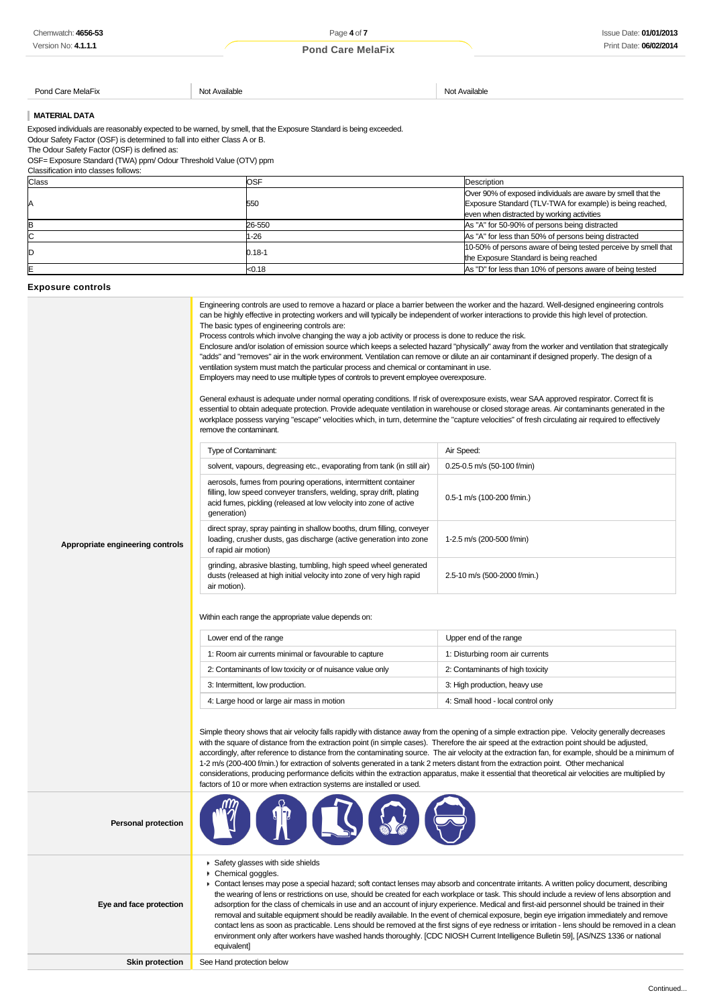# **Pond Care MelaFix Pond Care MelaFix**

#### Pond Care MelaFix **Not Available** Not Available Not Available Not Available Not Available

# **MATERIAL DATA**

| Chemwatch: 4656-53                                                                                                | Page 4 of 7                                                                                                                                         |                                                                                                                                                                                                                                                                                              | <b>Issue Date: 01/01/2013</b> |                                                                                                                                                                                                                                                                                               |
|-------------------------------------------------------------------------------------------------------------------|-----------------------------------------------------------------------------------------------------------------------------------------------------|----------------------------------------------------------------------------------------------------------------------------------------------------------------------------------------------------------------------------------------------------------------------------------------------|-------------------------------|-----------------------------------------------------------------------------------------------------------------------------------------------------------------------------------------------------------------------------------------------------------------------------------------------|
| Version No: 4.1.1.1                                                                                               |                                                                                                                                                     | <b>Pond Care MelaFix</b>                                                                                                                                                                                                                                                                     |                               | Print Date: 06/02/2014                                                                                                                                                                                                                                                                        |
|                                                                                                                   |                                                                                                                                                     |                                                                                                                                                                                                                                                                                              |                               |                                                                                                                                                                                                                                                                                               |
|                                                                                                                   |                                                                                                                                                     |                                                                                                                                                                                                                                                                                              |                               |                                                                                                                                                                                                                                                                                               |
| Pond Care MelaFix                                                                                                 | Not Available                                                                                                                                       |                                                                                                                                                                                                                                                                                              | Not Available                 |                                                                                                                                                                                                                                                                                               |
|                                                                                                                   |                                                                                                                                                     |                                                                                                                                                                                                                                                                                              |                               |                                                                                                                                                                                                                                                                                               |
| <b>MATERIAL DATA</b>                                                                                              |                                                                                                                                                     |                                                                                                                                                                                                                                                                                              |                               |                                                                                                                                                                                                                                                                                               |
| Exposed individuals are reasonably expected to be warned, by smell, that the Exposure Standard is being exceeded. |                                                                                                                                                     |                                                                                                                                                                                                                                                                                              |                               |                                                                                                                                                                                                                                                                                               |
| Odour Safety Factor (OSF) is determined to fall into either Class A or B.                                         |                                                                                                                                                     |                                                                                                                                                                                                                                                                                              |                               |                                                                                                                                                                                                                                                                                               |
| The Odour Safety Factor (OSF) is defined as:<br>OSF= Exposure Standard (TWA) ppm/ Odour Threshold Value (OTV) ppm |                                                                                                                                                     |                                                                                                                                                                                                                                                                                              |                               |                                                                                                                                                                                                                                                                                               |
| Classification into classes follows:                                                                              |                                                                                                                                                     |                                                                                                                                                                                                                                                                                              |                               |                                                                                                                                                                                                                                                                                               |
| Class                                                                                                             |                                                                                                                                                     | OSF                                                                                                                                                                                                                                                                                          |                               | Description                                                                                                                                                                                                                                                                                   |
|                                                                                                                   |                                                                                                                                                     |                                                                                                                                                                                                                                                                                              |                               | Over 90% of exposed individuals are aware by smell that the                                                                                                                                                                                                                                   |
| А                                                                                                                 |                                                                                                                                                     | 550                                                                                                                                                                                                                                                                                          |                               | Exposure Standard (TLV-TWA for example) is being reached,<br>even when distracted by working activities                                                                                                                                                                                       |
| B                                                                                                                 |                                                                                                                                                     | 26-550                                                                                                                                                                                                                                                                                       |                               | As "A" for 50-90% of persons being distracted                                                                                                                                                                                                                                                 |
| С                                                                                                                 |                                                                                                                                                     | $-26$                                                                                                                                                                                                                                                                                        |                               | As "A" for less than 50% of persons being distracted                                                                                                                                                                                                                                          |
| D                                                                                                                 |                                                                                                                                                     | 0.18-1                                                                                                                                                                                                                                                                                       |                               | 10-50% of persons aware of being tested perceive by smell that                                                                                                                                                                                                                                |
| E                                                                                                                 |                                                                                                                                                     | < 0.18                                                                                                                                                                                                                                                                                       |                               | the Exposure Standard is being reached<br>As "D" for less than 10% of persons aware of being tested                                                                                                                                                                                           |
|                                                                                                                   |                                                                                                                                                     |                                                                                                                                                                                                                                                                                              |                               |                                                                                                                                                                                                                                                                                               |
| <b>Exposure controls</b>                                                                                          |                                                                                                                                                     |                                                                                                                                                                                                                                                                                              |                               |                                                                                                                                                                                                                                                                                               |
|                                                                                                                   |                                                                                                                                                     |                                                                                                                                                                                                                                                                                              |                               | Engineering controls are used to remove a hazard or place a barrier between the worker and the hazard. Well-designed engineering controls                                                                                                                                                     |
|                                                                                                                   |                                                                                                                                                     | can be highly effective in protecting workers and will typically be independent of worker interactions to provide this high level of protection.                                                                                                                                             |                               |                                                                                                                                                                                                                                                                                               |
|                                                                                                                   |                                                                                                                                                     | The basic types of engineering controls are:<br>Process controls which involve changing the way a job activity or process is done to reduce the risk.                                                                                                                                        |                               |                                                                                                                                                                                                                                                                                               |
|                                                                                                                   |                                                                                                                                                     |                                                                                                                                                                                                                                                                                              |                               | Enclosure and/or isolation of emission source which keeps a selected hazard "physically" away from the worker and ventilation that strategically                                                                                                                                              |
|                                                                                                                   |                                                                                                                                                     | "adds" and "removes" air in the work environment. Ventilation can remove or dilute an air contaminant if designed properly. The design of a                                                                                                                                                  |                               |                                                                                                                                                                                                                                                                                               |
|                                                                                                                   |                                                                                                                                                     | ventilation system must match the particular process and chemical or contaminant in use.                                                                                                                                                                                                     |                               |                                                                                                                                                                                                                                                                                               |
|                                                                                                                   |                                                                                                                                                     | Employers may need to use multiple types of controls to prevent employee overexposure.                                                                                                                                                                                                       |                               |                                                                                                                                                                                                                                                                                               |
|                                                                                                                   |                                                                                                                                                     |                                                                                                                                                                                                                                                                                              |                               |                                                                                                                                                                                                                                                                                               |
|                                                                                                                   |                                                                                                                                                     | General exhaust is adequate under normal operating conditions. If risk of overexposure exists, wear SAA approved respirator. Correct fit is<br>essential to obtain adequate protection. Provide adequate ventilation in warehouse or closed storage areas. Air contaminants generated in the |                               |                                                                                                                                                                                                                                                                                               |
|                                                                                                                   |                                                                                                                                                     |                                                                                                                                                                                                                                                                                              |                               | workplace possess varying "escape" velocities which, in turn, determine the "capture velocities" of fresh circulating air required to effectively                                                                                                                                             |
|                                                                                                                   | remove the contaminant.                                                                                                                             |                                                                                                                                                                                                                                                                                              |                               |                                                                                                                                                                                                                                                                                               |
|                                                                                                                   | <b>Type of Contaminant:</b>                                                                                                                         |                                                                                                                                                                                                                                                                                              | Air Speed:                    |                                                                                                                                                                                                                                                                                               |
|                                                                                                                   |                                                                                                                                                     |                                                                                                                                                                                                                                                                                              |                               |                                                                                                                                                                                                                                                                                               |
|                                                                                                                   |                                                                                                                                                     | solvent, vapours, degreasing etc., evaporating from tank (in still air)                                                                                                                                                                                                                      |                               | 0.25-0.5 m/s (50-100 f/min)                                                                                                                                                                                                                                                                   |
|                                                                                                                   |                                                                                                                                                     | aerosols, fumes from pouring operations, intermittent container<br>filling, low speed conveyer transfers, welding, spray drift, plating<br>acid fumes, pickling (released at low velocity into zone of active                                                                                |                               |                                                                                                                                                                                                                                                                                               |
|                                                                                                                   |                                                                                                                                                     |                                                                                                                                                                                                                                                                                              |                               | 0.5-1 m/s (100-200 f/min.)                                                                                                                                                                                                                                                                    |
|                                                                                                                   | generation)                                                                                                                                         |                                                                                                                                                                                                                                                                                              |                               |                                                                                                                                                                                                                                                                                               |
|                                                                                                                   |                                                                                                                                                     | direct spray, spray painting in shallow booths, drum filling, conveyer                                                                                                                                                                                                                       |                               |                                                                                                                                                                                                                                                                                               |
|                                                                                                                   |                                                                                                                                                     | loading, crusher dusts, gas discharge (active generation into zone<br>of rapid air motion)                                                                                                                                                                                                   |                               | 1-2.5 m/s (200-500 f/min)                                                                                                                                                                                                                                                                     |
| Appropriate engineering controls                                                                                  |                                                                                                                                                     |                                                                                                                                                                                                                                                                                              |                               |                                                                                                                                                                                                                                                                                               |
|                                                                                                                   |                                                                                                                                                     | grinding, abrasive blasting, tumbling, high speed wheel generated                                                                                                                                                                                                                            |                               |                                                                                                                                                                                                                                                                                               |
|                                                                                                                   |                                                                                                                                                     | dusts (released at high initial velocity into zone of very high rapid                                                                                                                                                                                                                        | 2.5-10 m/s (500-2000 f/min.)  |                                                                                                                                                                                                                                                                                               |
|                                                                                                                   | air motion).                                                                                                                                        |                                                                                                                                                                                                                                                                                              |                               |                                                                                                                                                                                                                                                                                               |
|                                                                                                                   |                                                                                                                                                     |                                                                                                                                                                                                                                                                                              |                               |                                                                                                                                                                                                                                                                                               |
|                                                                                                                   |                                                                                                                                                     | Within each range the appropriate value depends on:                                                                                                                                                                                                                                          |                               |                                                                                                                                                                                                                                                                                               |
|                                                                                                                   |                                                                                                                                                     |                                                                                                                                                                                                                                                                                              |                               |                                                                                                                                                                                                                                                                                               |
| Lower end of the range                                                                                            |                                                                                                                                                     |                                                                                                                                                                                                                                                                                              |                               | Upper end of the range                                                                                                                                                                                                                                                                        |
|                                                                                                                   |                                                                                                                                                     | 1: Room air currents minimal or favourable to capture                                                                                                                                                                                                                                        |                               | 1: Disturbing room air currents                                                                                                                                                                                                                                                               |
|                                                                                                                   |                                                                                                                                                     | 2: Contaminants of low toxicity or of nuisance value only                                                                                                                                                                                                                                    |                               | 2: Contaminants of high toxicity                                                                                                                                                                                                                                                              |
|                                                                                                                   |                                                                                                                                                     | 3: Intermittent, low production.                                                                                                                                                                                                                                                             |                               | 3: High production, heavy use                                                                                                                                                                                                                                                                 |
|                                                                                                                   |                                                                                                                                                     | 4: Large hood or large air mass in motion                                                                                                                                                                                                                                                    |                               | 4: Small hood - local control only                                                                                                                                                                                                                                                            |
|                                                                                                                   |                                                                                                                                                     |                                                                                                                                                                                                                                                                                              |                               |                                                                                                                                                                                                                                                                                               |
|                                                                                                                   |                                                                                                                                                     |                                                                                                                                                                                                                                                                                              |                               |                                                                                                                                                                                                                                                                                               |
|                                                                                                                   |                                                                                                                                                     |                                                                                                                                                                                                                                                                                              |                               | Simple theory shows that air velocity falls rapidly with distance away from the opening of a simple extraction pipe. Velocity generally decreases                                                                                                                                             |
|                                                                                                                   |                                                                                                                                                     | with the square of distance from the extraction point (in simple cases). Therefore the air speed at the extraction point should be adjusted,                                                                                                                                                 |                               | accordingly, after reference to distance from the contaminating source. The air velocity at the extraction fan, for example, should be a minimum of                                                                                                                                           |
|                                                                                                                   |                                                                                                                                                     | 1-2 m/s (200-400 f/min.) for extraction of solvents generated in a tank 2 meters distant from the extraction point. Other mechanical                                                                                                                                                         |                               |                                                                                                                                                                                                                                                                                               |
|                                                                                                                   | considerations, producing performance deficits within the extraction apparatus, make it essential that theoretical air velocities are multiplied by |                                                                                                                                                                                                                                                                                              |                               |                                                                                                                                                                                                                                                                                               |
|                                                                                                                   |                                                                                                                                                     | factors of 10 or more when extraction systems are installed or used.                                                                                                                                                                                                                         |                               |                                                                                                                                                                                                                                                                                               |
|                                                                                                                   |                                                                                                                                                     |                                                                                                                                                                                                                                                                                              |                               |                                                                                                                                                                                                                                                                                               |
|                                                                                                                   |                                                                                                                                                     |                                                                                                                                                                                                                                                                                              |                               |                                                                                                                                                                                                                                                                                               |
| <b>Personal protection</b>                                                                                        |                                                                                                                                                     |                                                                                                                                                                                                                                                                                              |                               |                                                                                                                                                                                                                                                                                               |
|                                                                                                                   |                                                                                                                                                     |                                                                                                                                                                                                                                                                                              |                               |                                                                                                                                                                                                                                                                                               |
|                                                                                                                   |                                                                                                                                                     |                                                                                                                                                                                                                                                                                              |                               |                                                                                                                                                                                                                                                                                               |
|                                                                                                                   | Chemical goggles.                                                                                                                                   | Safety glasses with side shields                                                                                                                                                                                                                                                             |                               |                                                                                                                                                                                                                                                                                               |
|                                                                                                                   |                                                                                                                                                     |                                                                                                                                                                                                                                                                                              |                               | ▶ Contact lenses may pose a special hazard; soft contact lenses may absorb and concentrate irritants. A written policy document, describing                                                                                                                                                   |
|                                                                                                                   | the wearing of lens or restrictions on use, should be created for each workplace or task. This should include a review of lens absorption and       |                                                                                                                                                                                                                                                                                              |                               |                                                                                                                                                                                                                                                                                               |
| Eye and face protection                                                                                           |                                                                                                                                                     |                                                                                                                                                                                                                                                                                              |                               | adsorption for the class of chemicals in use and an account of injury experience. Medical and first-aid personnel should be trained in their                                                                                                                                                  |
|                                                                                                                   |                                                                                                                                                     |                                                                                                                                                                                                                                                                                              |                               | removal and suitable equipment should be readily available. In the event of chemical exposure, begin eye irrigation immediately and remove<br>contact lens as soon as practicable. Lens should be removed at the first signs of eye redness or irritation - lens should be removed in a clean |
|                                                                                                                   |                                                                                                                                                     |                                                                                                                                                                                                                                                                                              |                               | environment only after workers have washed hands thoroughly. [CDC NIOSH Current Intelligence Bulletin 59], [AS/NZS 1336 or national                                                                                                                                                           |
|                                                                                                                   | equivalent]                                                                                                                                         |                                                                                                                                                                                                                                                                                              |                               |                                                                                                                                                                                                                                                                                               |
| <b>Skin protection</b>                                                                                            | See Hand protection below                                                                                                                           |                                                                                                                                                                                                                                                                                              |                               |                                                                                                                                                                                                                                                                                               |

#### **Exposure controls**

| <b>Type of Contaminant:</b>                                                                                                                                                                                                  | Air Speed:                      |
|------------------------------------------------------------------------------------------------------------------------------------------------------------------------------------------------------------------------------|---------------------------------|
|                                                                                                                                                                                                                              |                                 |
| solvent, vapours, degreasing etc., evaporating from tank (in still air)                                                                                                                                                      | $0.25 - 0.5$ m/s (50-100 f/min) |
| aerosols, fumes from pouring operations, intermittent container<br>filling, low speed conveyer transfers, welding, spray drift, plating<br>acid fumes, pickling (released at low velocity into zone of active<br>generation) | 0.5-1 m/s (100-200 f/min.)      |
| direct spray, spray painting in shallow booths, drum filling, conveyer<br>loading, crusher dusts, gas discharge (active generation into zone<br>of rapid air motion)                                                         | 1-2.5 m/s (200-500 f/min)       |
| grinding, abrasive blasting, tumbling, high speed wheel generated<br>dusts (released at high initial velocity into zone of very high rapid<br>air motion).                                                                   | 2.5-10 m/s (500-2000 f/min.)    |

| Lower end of the range                                    | Upper end of the range             |
|-----------------------------------------------------------|------------------------------------|
| 1: Room air currents minimal or favourable to capture     | 1: Disturbing room air currents    |
| 2: Contaminants of low toxicity or of nuisance value only | 2: Contaminants of high toxicity   |
| 3: Intermittent, low production.                          | 3: High production, heavy use      |
| 4: Large hood or large air mass in motion                 | 4: Small hood - local control only |

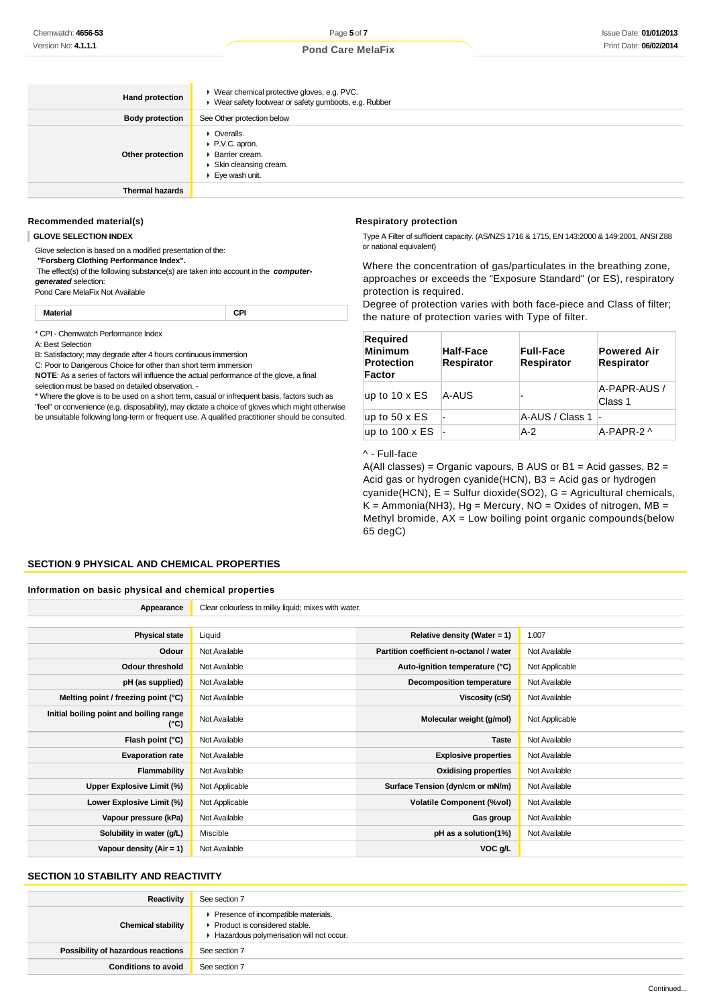| <b>Hand protection</b> | ▶ Wear chemical protective gloves, e.g. PVC.<br>■ Wear safety footwear or safety gumboots, e.g. Rubber |
|------------------------|--------------------------------------------------------------------------------------------------------|
| <b>Body protection</b> | See Other protection below                                                                             |
| Other protection       | • Overalls.<br>P.V.C. apron.<br><b>Barrier cream.</b><br>Skin cleansing cream.<br>Eye wash unit.       |
| <b>Thermal hazards</b> |                                                                                                        |

# **Recommended material(s)**

**GLOVE SELECTION INDEX**

Glove selection is based on a modified presentation of the:

 **"Forsberg Clothing Performance Index".**

 The effect(s) of the following substance(s) are taken into account in the **computergenerated** selection:

Pond Care MelaFix Not Available

**Material CPI**

\* CPI - Chemwatch Performance Index

A: Best Selection

B: Satisfactory; may degrade after 4 hours continuous immersion

C: Poor to Dangerous Choice for other than short term immersion

**NOTE**: As a series of factors will influence the actual performance of the glove, a final selection must be based on detailed observation. -

\* Where the glove is to be used on a short term, casual or infrequent basis, factors such as "feel" or convenience (e.g. disposability), may dictate a choice of gloves which might otherwise be unsuitable following long-term or frequent use. A qualified practitioner should be consulted.

#### **Respiratory protection**

Type A Filter of sufficient capacity. (AS/NZS 1716 & 1715, EN 143:2000 & 149:2001, ANSI Z88 or national equivalent)

Where the concentration of gas/particulates in the breathing zone, approaches or exceeds the "Exposure Standard" (or ES), respiratory protection is required.

Degree of protection varies with both face-piece and Class of filter; the nature of protection varies with Type of filter.

| <b>Required</b><br><b>Minimum</b><br><b>Protection</b><br>Factor | <b>Half-Face</b><br><b>Respirator</b> | <b>Full-Face</b><br><b>Respirator</b> | <b>Powered Air</b><br>Respirator |
|------------------------------------------------------------------|---------------------------------------|---------------------------------------|----------------------------------|
| up to $10 \times ES$                                             | A-AUS                                 |                                       | A-PAPR-AUS /<br>Class 1          |
| up to $50 \times ES$                                             |                                       | A-AUS / Class 1 -                     |                                  |
| up to $100 \times ES$                                            |                                       | $A-2$                                 | A-PAPR-2 ^                       |

#### ^ - Full-face

 $A(AII \text{ classes}) = \text{Organic vapours}, B AUS \text{ or } B1 = \text{Acid gases}, B2 = \text{Cov}(AII)$ Acid gas or hydrogen cyanide(HCN), B3 = Acid gas or hydrogen cyanide(HCN), E = Sulfur dioxide(SO2), G = Agricultural chemicals,  $K =$  Ammonia(NH3), Hg = Mercury, NO = Oxides of nitrogen, MB = Methyl bromide,  $AX = Low$  boiling point organic compounds(below 65 degC)

# **SECTION 9 PHYSICAL AND CHEMICAL PROPERTIES**

#### **Information on basic physical and chemical properties**

| Appearance                                               | Clear colourless to milky liquid; mixes with water. |                                         |                |
|----------------------------------------------------------|-----------------------------------------------------|-----------------------------------------|----------------|
|                                                          |                                                     |                                         |                |
| <b>Physical state</b>                                    | Liquid                                              | Relative density (Water = $1$ )         | 1.007          |
| Odour                                                    | Not Available                                       | Partition coefficient n-octanol / water | Not Available  |
| <b>Odour threshold</b>                                   | Not Available                                       | Auto-ignition temperature (°C)          | Not Applicable |
| pH (as supplied)                                         | Not Available                                       | <b>Decomposition temperature</b>        | Not Available  |
| Melting point / freezing point (°C)                      | Not Available                                       | Viscosity (cSt)                         | Not Available  |
| Initial boiling point and boiling range<br>$(^{\circ}C)$ | Not Available                                       | Molecular weight (g/mol)                | Not Applicable |
| Flash point (°C)                                         | Not Available                                       | <b>Taste</b>                            | Not Available  |
| <b>Evaporation rate</b>                                  | Not Available                                       | <b>Explosive properties</b>             | Not Available  |
| Flammability                                             | Not Available                                       | <b>Oxidising properties</b>             | Not Available  |
| Upper Explosive Limit (%)                                | Not Applicable                                      | Surface Tension (dyn/cm or mN/m)        | Not Available  |
| Lower Explosive Limit (%)                                | Not Applicable                                      | <b>Volatile Component (%vol)</b>        | Not Available  |
| Vapour pressure (kPa)                                    | Not Available                                       | Gas group                               | Not Available  |
| Solubility in water (g/L)                                | Miscible                                            | pH as a solution(1%)                    | Not Available  |
| Vapour density $(Air = 1)$                               | Not Available                                       | VOC g/L                                 |                |

# **SECTION 10 STABILITY AND REACTIVITY**

| Reactivity                         | See section 7                                                                                                    |
|------------------------------------|------------------------------------------------------------------------------------------------------------------|
| <b>Chemical stability</b>          | Presence of incompatible materials.<br>Product is considered stable.<br>Hazardous polymerisation will not occur. |
| Possibility of hazardous reactions | See section 7                                                                                                    |
| <b>Conditions to avoid</b>         | See section 7                                                                                                    |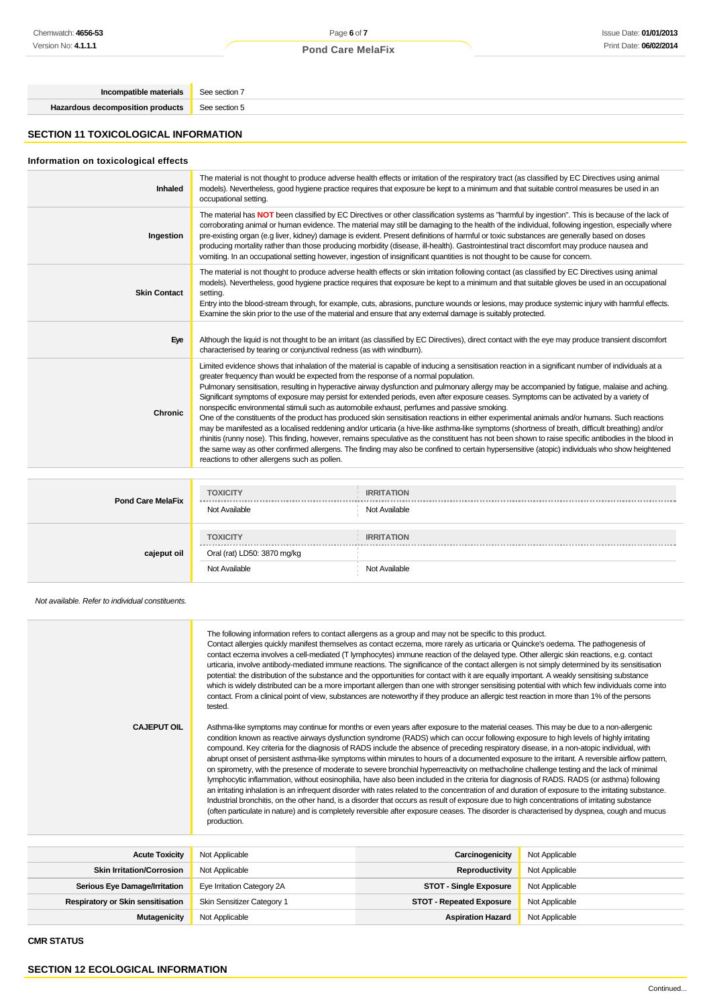| Incompatible materials See section 7 |               |
|--------------------------------------|---------------|
| Hazardous decomposition products     | See section 5 |
|                                      |               |

# **SECTION 11 TOXICOLOGICAL INFORMATION**

# **Information on toxicological effects**

| The material has NOT been classified by EC Directives or other classification systems as "harmful by ingestion". This is because of the lack of<br>corroborating animal or human evidence. The material may still be damaging to the health of the individual, following ingestion, especially where<br>pre-existing organ (e.g liver, kidney) damage is evident. Present definitions of harmful or toxic substances are generally based on doses<br>Ingestion<br>producing mortality rather than those producing morbidity (disease, ill-health). Gastrointestinal tract discomfort may produce nausea and<br>vomiting. In an occupational setting however, ingestion of insignificant quantities is not thought to be cause for concern.<br>The material is not thought to produce adverse health effects or skin irritation following contact (as classified by EC Directives using animal<br>models). Nevertheless, good hygiene practice requires that exposure be kept to a minimum and that suitable gloves be used in an occupational<br><b>Skin Contact</b><br>setting.<br>Entry into the blood-stream through, for example, cuts, abrasions, puncture wounds or lesions, may produce systemic injury with harmful effects.<br>Examine the skin prior to the use of the material and ensure that any external damage is suitably protected. | <b>Inhaled</b> | The material is not thought to produce adverse health effects or irritation of the respiratory tract (as classified by EC Directives using animal<br>models). Nevertheless, good hygiene practice requires that exposure be kept to a minimum and that suitable control measures be used in an<br>occupational setting. |
|------------------------------------------------------------------------------------------------------------------------------------------------------------------------------------------------------------------------------------------------------------------------------------------------------------------------------------------------------------------------------------------------------------------------------------------------------------------------------------------------------------------------------------------------------------------------------------------------------------------------------------------------------------------------------------------------------------------------------------------------------------------------------------------------------------------------------------------------------------------------------------------------------------------------------------------------------------------------------------------------------------------------------------------------------------------------------------------------------------------------------------------------------------------------------------------------------------------------------------------------------------------------------------------------------------------------------------------------------|----------------|-------------------------------------------------------------------------------------------------------------------------------------------------------------------------------------------------------------------------------------------------------------------------------------------------------------------------|
|                                                                                                                                                                                                                                                                                                                                                                                                                                                                                                                                                                                                                                                                                                                                                                                                                                                                                                                                                                                                                                                                                                                                                                                                                                                                                                                                                      |                |                                                                                                                                                                                                                                                                                                                         |
|                                                                                                                                                                                                                                                                                                                                                                                                                                                                                                                                                                                                                                                                                                                                                                                                                                                                                                                                                                                                                                                                                                                                                                                                                                                                                                                                                      |                |                                                                                                                                                                                                                                                                                                                         |
| Eye<br>Although the liquid is not thought to be an irritant (as classified by EC Directives), direct contact with the eye may produce transient discomfort<br>characterised by tearing or conjunctival redness (as with windburn).                                                                                                                                                                                                                                                                                                                                                                                                                                                                                                                                                                                                                                                                                                                                                                                                                                                                                                                                                                                                                                                                                                                   |                |                                                                                                                                                                                                                                                                                                                         |
| Limited evidence shows that inhalation of the material is capable of inducing a sensitisation reaction in a significant number of individuals at a<br>greater frequency than would be expected from the response of a normal population.<br>Pulmonary sensitisation, resulting in hyperactive airway dysfunction and pulmonary allergy may be accompanied by fatigue, malaise and aching.<br>Significant symptoms of exposure may persist for extended periods, even after exposure ceases. Symptoms can be activated by a variety of<br>nonspecific environmental stimuli such as automobile exhaust, perfumes and passive smoking.<br><b>Chronic</b><br>One of the constituents of the product has produced skin sensitisation reactions in either experimental animals and/or humans. Such reactions<br>may be manifested as a localised reddening and/or urticaria (a hive-like asthma-like symptoms (shortness of breath, difficult breathing) and/or<br>the same way as other confirmed allergens. The finding may also be confined to certain hypersensitive (atopic) individuals who show heightened<br>reactions to other allergens such as pollen.                                                                                                                                                                                         |                | rhinitis (runny nose). This finding, however, remains speculative as the constituent has not been shown to raise specific antibodies in the blood in                                                                                                                                                                    |

| <b>Pond Care MelaFix</b> | <b>TOXICITY</b><br><b>MONTH</b><br>Not Available | <b>IRRITATION</b><br>Not Available |
|--------------------------|--------------------------------------------------|------------------------------------|
|                          | <b>TOXICITY</b>                                  | <b>IRRITATION</b>                  |
| cajeput oil              | Oral (rat) LD50: 3870 mg/kg                      |                                    |
|                          | Not Available                                    | Not Available                      |

Not available. Refer to individual constituents.

| <b>CAJEPUT OIL</b>                       | The following information refers to contact allergens as a group and may not be specific to this product.<br>Contact allergies quickly manifest themselves as contact eczema, more rarely as urticaria or Quincke's oedema. The pathogenesis of<br>contact eczema involves a cell-mediated (T lymphocytes) immune reaction of the delayed type. Other allergic skin reactions, e.g. contact<br>urticaria, involve antibody-mediated immune reactions. The significance of the contact allergen is not simply determined by its sensitisation<br>potential: the distribution of the substance and the opportunities for contact with it are equally important. A weakly sensitising substance<br>which is widely distributed can be a more important allergen than one with stronger sensitising potential with which few individuals come into<br>contact. From a clinical point of view, substances are noteworthy if they produce an allergic test reaction in more than 1% of the persons<br>tested.<br>Asthma-like symptoms may continue for months or even years after exposure to the material ceases. This may be due to a non-allergenic<br>condition known as reactive airways dysfunction syndrome (RADS) which can occur following exposure to high levels of highly irritating<br>compound. Key criteria for the diagnosis of RADS include the absence of preceding respiratory disease, in a non-atopic individual, with<br>abrupt onset of persistent asthma-like symptoms within minutes to hours of a documented exposure to the irritant. A reversible airflow pattern,<br>on spirometry, with the presence of moderate to severe bronchial hyperreactivity on methacholine challenge testing and the lack of minimal<br>lymphocytic inflammation, without eosinophilia, have also been included in the criteria for diagnosis of RADS. RADS (or asthma) following<br>an irritating inhalation is an infrequent disorder with rates related to the concentration of and duration of exposure to the irritating substance.<br>Industrial bronchitis, on the other hand, is a disorder that occurs as result of exposure due to high concentrations of irritating substance<br>(often particulate in nature) and is completely reversible after exposure ceases. The disorder is characterised by dyspnea, cough and mucus<br>production. |                                 |                |
|------------------------------------------|----------------------------------------------------------------------------------------------------------------------------------------------------------------------------------------------------------------------------------------------------------------------------------------------------------------------------------------------------------------------------------------------------------------------------------------------------------------------------------------------------------------------------------------------------------------------------------------------------------------------------------------------------------------------------------------------------------------------------------------------------------------------------------------------------------------------------------------------------------------------------------------------------------------------------------------------------------------------------------------------------------------------------------------------------------------------------------------------------------------------------------------------------------------------------------------------------------------------------------------------------------------------------------------------------------------------------------------------------------------------------------------------------------------------------------------------------------------------------------------------------------------------------------------------------------------------------------------------------------------------------------------------------------------------------------------------------------------------------------------------------------------------------------------------------------------------------------------------------------------------------------------------------------------------------------------------------------------------------------------------------------------------------------------------------------------------------------------------------------------------------------------------------------------------------------------------------------------------------------------------------------------------------------------------------------------------------------------------------------|---------------------------------|----------------|
|                                          |                                                                                                                                                                                                                                                                                                                                                                                                                                                                                                                                                                                                                                                                                                                                                                                                                                                                                                                                                                                                                                                                                                                                                                                                                                                                                                                                                                                                                                                                                                                                                                                                                                                                                                                                                                                                                                                                                                                                                                                                                                                                                                                                                                                                                                                                                                                                                          |                                 |                |
| <b>Acute Toxicity</b>                    | Not Applicable                                                                                                                                                                                                                                                                                                                                                                                                                                                                                                                                                                                                                                                                                                                                                                                                                                                                                                                                                                                                                                                                                                                                                                                                                                                                                                                                                                                                                                                                                                                                                                                                                                                                                                                                                                                                                                                                                                                                                                                                                                                                                                                                                                                                                                                                                                                                           | Carcinogenicity                 | Not Applicable |
| <b>Skin Irritation/Corrosion</b>         | Not Applicable                                                                                                                                                                                                                                                                                                                                                                                                                                                                                                                                                                                                                                                                                                                                                                                                                                                                                                                                                                                                                                                                                                                                                                                                                                                                                                                                                                                                                                                                                                                                                                                                                                                                                                                                                                                                                                                                                                                                                                                                                                                                                                                                                                                                                                                                                                                                           | Reproductivity                  | Not Applicable |
| <b>Serious Eye Damage/Irritation</b>     | Eye Irritation Category 2A                                                                                                                                                                                                                                                                                                                                                                                                                                                                                                                                                                                                                                                                                                                                                                                                                                                                                                                                                                                                                                                                                                                                                                                                                                                                                                                                                                                                                                                                                                                                                                                                                                                                                                                                                                                                                                                                                                                                                                                                                                                                                                                                                                                                                                                                                                                               | <b>STOT - Single Exposure</b>   | Not Applicable |
| <b>Respiratory or Skin sensitisation</b> | Skin Sensitizer Category 1                                                                                                                                                                                                                                                                                                                                                                                                                                                                                                                                                                                                                                                                                                                                                                                                                                                                                                                                                                                                                                                                                                                                                                                                                                                                                                                                                                                                                                                                                                                                                                                                                                                                                                                                                                                                                                                                                                                                                                                                                                                                                                                                                                                                                                                                                                                               | <b>STOT - Repeated Exposure</b> | Not Applicable |
| <b>Mutagenicity</b>                      | Not Applicable                                                                                                                                                                                                                                                                                                                                                                                                                                                                                                                                                                                                                                                                                                                                                                                                                                                                                                                                                                                                                                                                                                                                                                                                                                                                                                                                                                                                                                                                                                                                                                                                                                                                                                                                                                                                                                                                                                                                                                                                                                                                                                                                                                                                                                                                                                                                           | <b>Aspiration Hazard</b>        | Not Applicable |

**CMR STATUS**